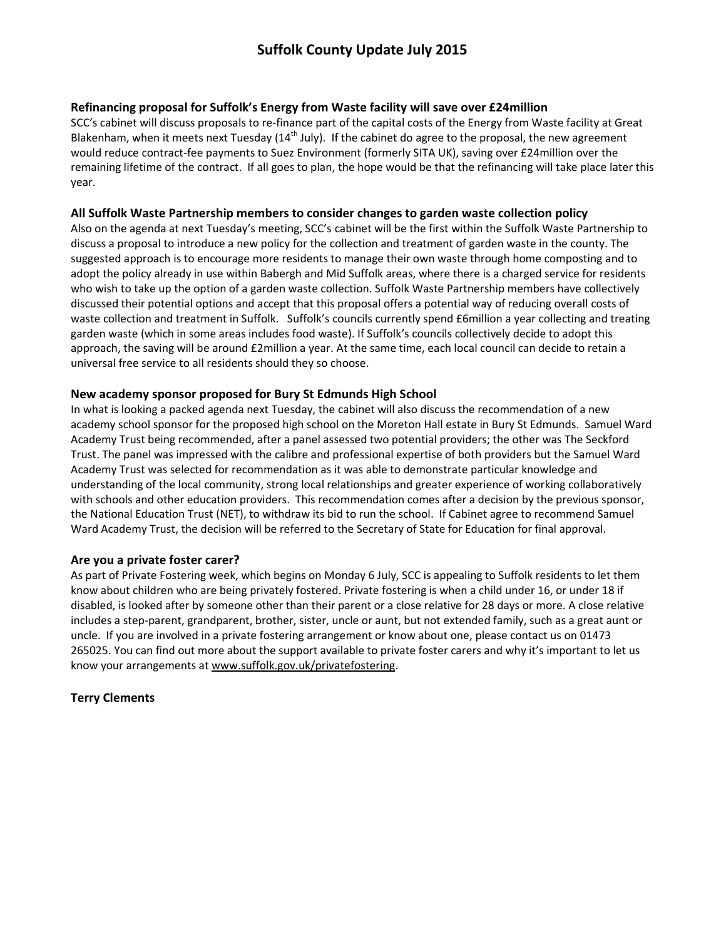### Refinancing proposal for Suffolk's Energy from Waste facility will save over £24million

SCC's cabinet will discuss proposals to re-finance part of the capital costs of the Energy from Waste facility at Great Blakenham, when it meets next Tuesday (14<sup>th</sup> July). If the cabinet do agree to the proposal, the new agreement would reduce contract-fee payments to Suez Environment (formerly SITA UK), saving over £24million over the remaining lifetime of the contract. If all goes to plan, the hope would be that the refinancing will take place later this year.

#### All Suffolk Waste Partnership members to consider changes to garden waste collection policy

Also on the agenda at next Tuesday's meeting, SCC's cabinet will be the first within the Suffolk Waste Partnership to discuss a proposal to introduce a new policy for the collection and treatment of garden waste in the county. The suggested approach is to encourage more residents to manage their own waste through home composting and to adopt the policy already in use within Babergh and Mid Suffolk areas, where there is a charged service for residents who wish to take up the option of a garden waste collection. Suffolk Waste Partnership members have collectively discussed their potential options and accept that this proposal offers a potential way of reducing overall costs of waste collection and treatment in Suffolk. Suffolk's councils currently spend £6million a year collecting and treating garden waste (which in some areas includes food waste). If Suffolk's councils collectively decide to adopt this approach, the saving will be around £2million a year. At the same time, each local council can decide to retain a universal free service to all residents should they so choose.

# New academy sponsor proposed for Bury St Edmunds High School

In what is looking a packed agenda next Tuesday, the cabinet will also discuss the recommendation of a new academy school sponsor for the proposed high school on the Moreton Hall estate in Bury St Edmunds. Samuel Ward Academy Trust being recommended, after a panel assessed two potential providers; the other was The Seckford Trust. The panel was impressed with the calibre and professional expertise of both providers but the Samuel Ward Academy Trust was selected for recommendation as it was able to demonstrate particular knowledge and understanding of the local community, strong local relationships and greater experience of working collaboratively with schools and other education providers. This recommendation comes after a decision by the previous sponsor, the National Education Trust (NET), to withdraw its bid to run the school. If Cabinet agree to recommend Samuel Ward Academy Trust, the decision will be referred to the Secretary of State for Education for final approval.

# Are you a private foster carer?

As part of Private Fostering week, which begins on Monday 6 July, SCC is appealing to Suffolk residents to let them know about children who are being privately fostered. Private fostering is when a child under 16, or under 18 if disabled, is looked after by someone other than their parent or a close relative for 28 days or more. A close relative includes a step-parent, grandparent, brother, sister, uncle or aunt, but not extended family, such as a great aunt or uncle. If you are involved in a private fostering arrangement or know about one, please contact us on 01473 265025. You can find out more about the support available to private foster carers and why it's important to let us know your arrangements at www.suffolk.gov.uk/privatefostering.

# Terry Clements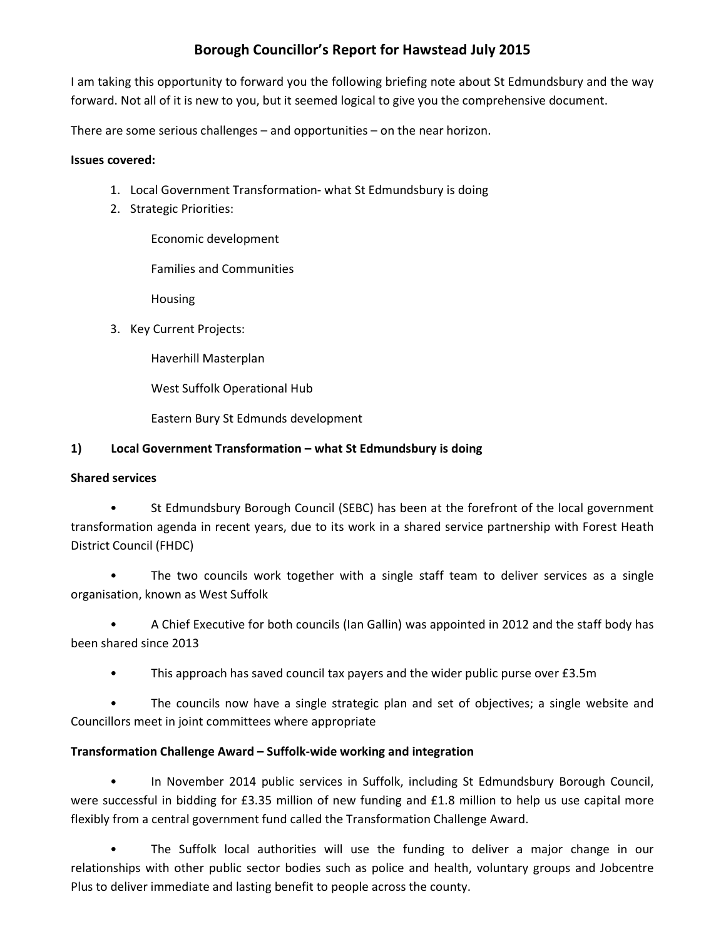# Borough Councillor's Report for Hawstead July 2015

I am taking this opportunity to forward you the following briefing note about St Edmundsbury and the way forward. Not all of it is new to you, but it seemed logical to give you the comprehensive document.

There are some serious challenges – and opportunities – on the near horizon.

## Issues covered:

- 1. Local Government Transformation- what St Edmundsbury is doing
- 2. Strategic Priorities:

Economic development

Families and Communities

Housing

3. Key Current Projects:

Haverhill Masterplan

West Suffolk Operational Hub

Eastern Bury St Edmunds development

# 1) Local Government Transformation – what St Edmundsbury is doing

# Shared services

• St Edmundsbury Borough Council (SEBC) has been at the forefront of the local government transformation agenda in recent years, due to its work in a shared service partnership with Forest Heath District Council (FHDC)

The two councils work together with a single staff team to deliver services as a single organisation, known as West Suffolk

• A Chief Executive for both councils (Ian Gallin) was appointed in 2012 and the staff body has been shared since 2013

• This approach has saved council tax payers and the wider public purse over £3.5m

• The councils now have a single strategic plan and set of objectives; a single website and Councillors meet in joint committees where appropriate

# Transformation Challenge Award – Suffolk-wide working and integration

• In November 2014 public services in Suffolk, including St Edmundsbury Borough Council, were successful in bidding for £3.35 million of new funding and £1.8 million to help us use capital more flexibly from a central government fund called the Transformation Challenge Award.

• The Suffolk local authorities will use the funding to deliver a major change in our relationships with other public sector bodies such as police and health, voluntary groups and Jobcentre Plus to deliver immediate and lasting benefit to people across the county.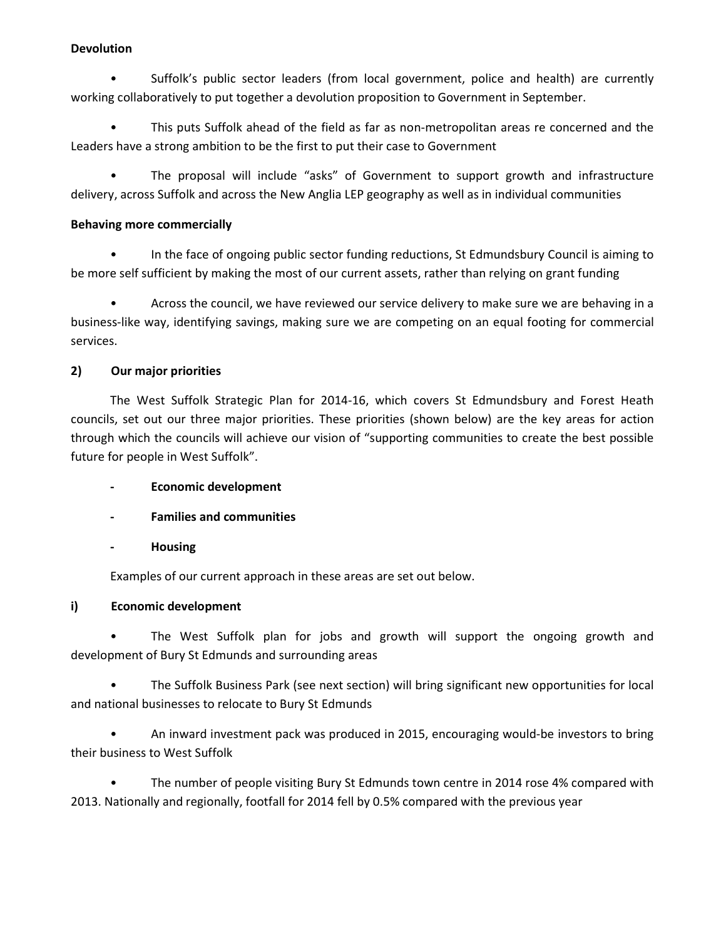#### **Devolution**

• Suffolk's public sector leaders (from local government, police and health) are currently working collaboratively to put together a devolution proposition to Government in September.

• This puts Suffolk ahead of the field as far as non-metropolitan areas re concerned and the Leaders have a strong ambition to be the first to put their case to Government

• The proposal will include "asks" of Government to support growth and infrastructure delivery, across Suffolk and across the New Anglia LEP geography as well as in individual communities

#### Behaving more commercially

• In the face of ongoing public sector funding reductions, St Edmundsbury Council is aiming to be more self sufficient by making the most of our current assets, rather than relying on grant funding

• Across the council, we have reviewed our service delivery to make sure we are behaving in a business-like way, identifying savings, making sure we are competing on an equal footing for commercial services.

# 2) Our major priorities

The West Suffolk Strategic Plan for 2014-16, which covers St Edmundsbury and Forest Heath councils, set out our three major priorities. These priorities (shown below) are the key areas for action through which the councils will achieve our vision of "supporting communities to create the best possible future for people in West Suffolk".

- Economic development
- Families and communities
- Housing

Examples of our current approach in these areas are set out below.

# i) Economic development

• The West Suffolk plan for jobs and growth will support the ongoing growth and development of Bury St Edmunds and surrounding areas

• The Suffolk Business Park (see next section) will bring significant new opportunities for local and national businesses to relocate to Bury St Edmunds

• An inward investment pack was produced in 2015, encouraging would-be investors to bring their business to West Suffolk

• The number of people visiting Bury St Edmunds town centre in 2014 rose 4% compared with 2013. Nationally and regionally, footfall for 2014 fell by 0.5% compared with the previous year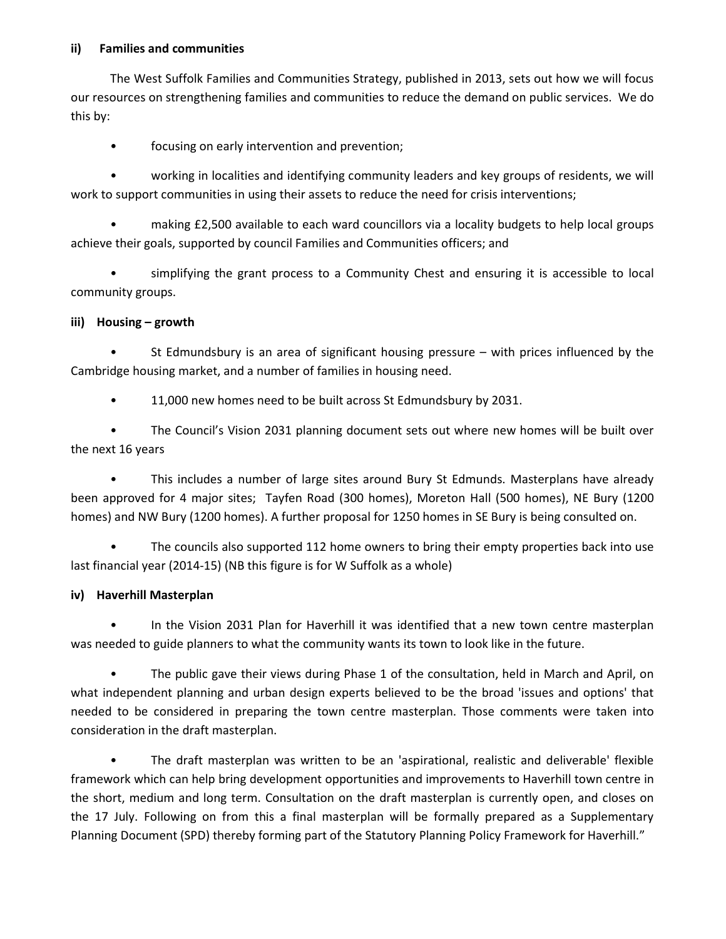#### ii) Families and communities

The West Suffolk Families and Communities Strategy, published in 2013, sets out how we will focus our resources on strengthening families and communities to reduce the demand on public services. We do this by:

focusing on early intervention and prevention;

• working in localities and identifying community leaders and key groups of residents, we will work to support communities in using their assets to reduce the need for crisis interventions;

• making £2,500 available to each ward councillors via a locality budgets to help local groups achieve their goals, supported by council Families and Communities officers; and

• simplifying the grant process to a Community Chest and ensuring it is accessible to local community groups.

### iii) Housing – growth

St Edmundsbury is an area of significant housing pressure  $-$  with prices influenced by the Cambridge housing market, and a number of families in housing need.

• 11,000 new homes need to be built across St Edmundsbury by 2031.

• The Council's Vision 2031 planning document sets out where new homes will be built over the next 16 years

• This includes a number of large sites around Bury St Edmunds. Masterplans have already been approved for 4 major sites; Tayfen Road (300 homes), Moreton Hall (500 homes), NE Bury (1200 homes) and NW Bury (1200 homes). A further proposal for 1250 homes in SE Bury is being consulted on.

• The councils also supported 112 home owners to bring their empty properties back into use last financial year (2014-15) (NB this figure is for W Suffolk as a whole)

# iv) Haverhill Masterplan

• In the Vision 2031 Plan for Haverhill it was identified that a new town centre masterplan was needed to guide planners to what the community wants its town to look like in the future.

• The public gave their views during Phase 1 of the consultation, held in March and April, on what independent planning and urban design experts believed to be the broad 'issues and options' that needed to be considered in preparing the town centre masterplan. Those comments were taken into consideration in the draft masterplan.

• The draft masterplan was written to be an 'aspirational, realistic and deliverable' flexible framework which can help bring development opportunities and improvements to Haverhill town centre in the short, medium and long term. Consultation on the draft masterplan is currently open, and closes on the 17 July. Following on from this a final masterplan will be formally prepared as a Supplementary Planning Document (SPD) thereby forming part of the Statutory Planning Policy Framework for Haverhill."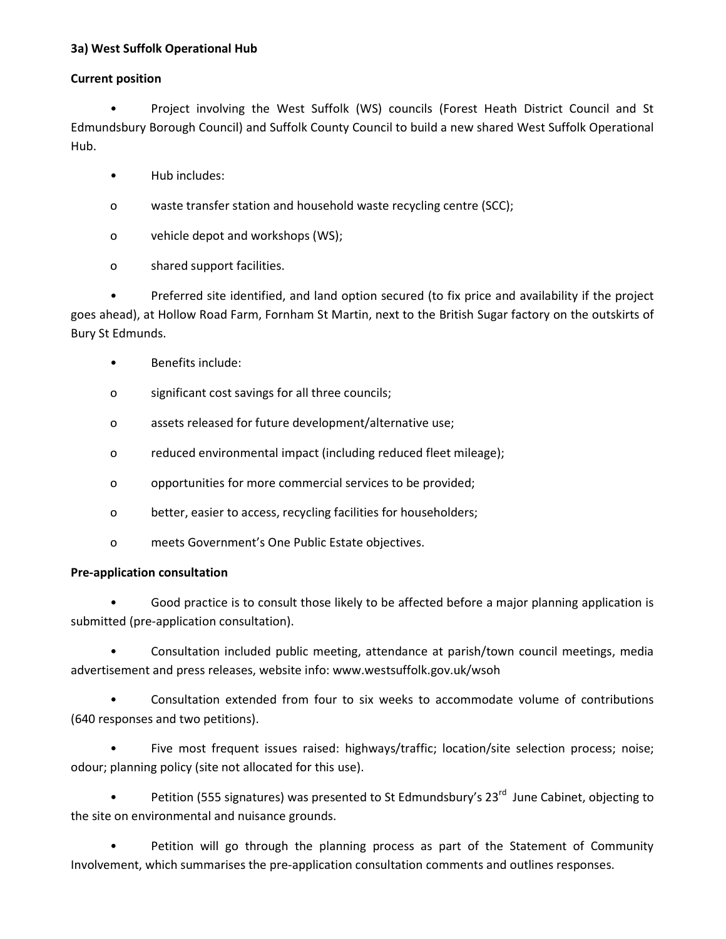## 3a) West Suffolk Operational Hub

### Current position

• Project involving the West Suffolk (WS) councils (Forest Heath District Council and St Edmundsbury Borough Council) and Suffolk County Council to build a new shared West Suffolk Operational Hub.

- Hub includes:
- o waste transfer station and household waste recycling centre (SCC);
- o vehicle depot and workshops (WS);
- o shared support facilities.

• Preferred site identified, and land option secured (to fix price and availability if the project goes ahead), at Hollow Road Farm, Fornham St Martin, next to the British Sugar factory on the outskirts of Bury St Edmunds.

- Benefits include:
- o significant cost savings for all three councils;
- o assets released for future development/alternative use;
- o reduced environmental impact (including reduced fleet mileage);
- o opportunities for more commercial services to be provided;
- o better, easier to access, recycling facilities for householders;
- o meets Government's One Public Estate objectives.

# Pre-application consultation

• Good practice is to consult those likely to be affected before a major planning application is submitted (pre-application consultation).

• Consultation included public meeting, attendance at parish/town council meetings, media advertisement and press releases, website info: www.westsuffolk.gov.uk/wsoh

• Consultation extended from four to six weeks to accommodate volume of contributions (640 responses and two petitions).

• Five most frequent issues raised: highways/traffic; location/site selection process; noise; odour; planning policy (site not allocated for this use).

Petition (555 signatures) was presented to St Edmundsbury's 23<sup>rd</sup> June Cabinet, objecting to the site on environmental and nuisance grounds.

Petition will go through the planning process as part of the Statement of Community Involvement, which summarises the pre-application consultation comments and outlines responses.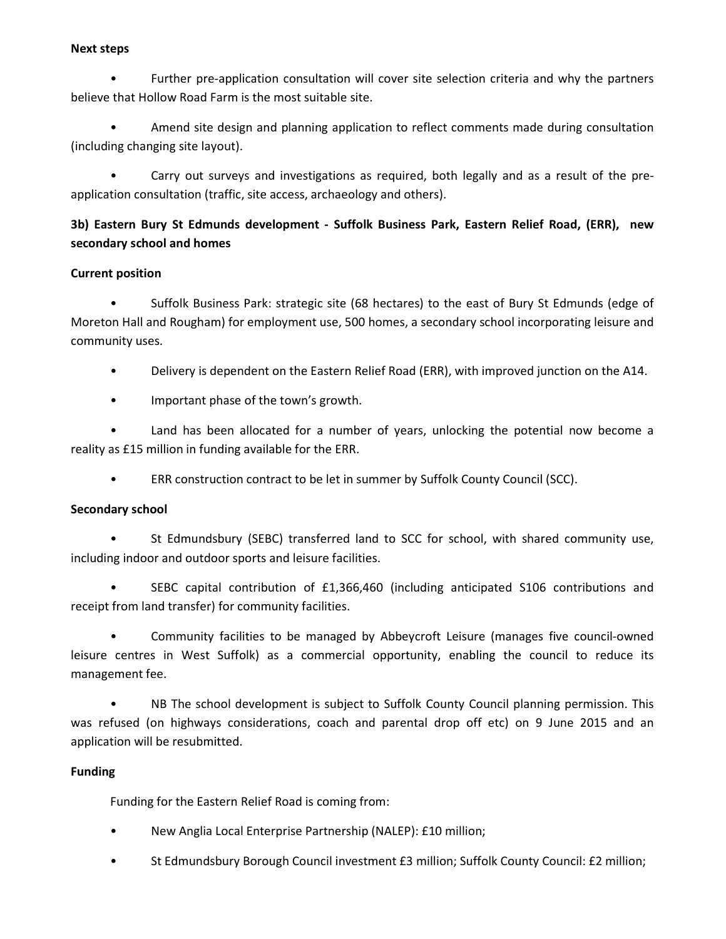#### Next steps

• Further pre-application consultation will cover site selection criteria and why the partners believe that Hollow Road Farm is the most suitable site.

• Amend site design and planning application to reflect comments made during consultation (including changing site layout).

• Carry out surveys and investigations as required, both legally and as a result of the preapplication consultation (traffic, site access, archaeology and others).

# 3b) Eastern Bury St Edmunds development - Suffolk Business Park, Eastern Relief Road, (ERR), new secondary school and homes

### Current position

• Suffolk Business Park: strategic site (68 hectares) to the east of Bury St Edmunds (edge of Moreton Hall and Rougham) for employment use, 500 homes, a secondary school incorporating leisure and community uses.

• Delivery is dependent on the Eastern Relief Road (ERR), with improved junction on the A14.

• Important phase of the town's growth.

Land has been allocated for a number of years, unlocking the potential now become a reality as £15 million in funding available for the ERR.

• ERR construction contract to be let in summer by Suffolk County Council (SCC).

# Secondary school

• St Edmundsbury (SEBC) transferred land to SCC for school, with shared community use, including indoor and outdoor sports and leisure facilities.

• SEBC capital contribution of £1,366,460 (including anticipated S106 contributions and receipt from land transfer) for community facilities.

• Community facilities to be managed by Abbeycroft Leisure (manages five council-owned leisure centres in West Suffolk) as a commercial opportunity, enabling the council to reduce its management fee.

• NB The school development is subject to Suffolk County Council planning permission. This was refused (on highways considerations, coach and parental drop off etc) on 9 June 2015 and an application will be resubmitted.

#### Funding

Funding for the Eastern Relief Road is coming from:

- New Anglia Local Enterprise Partnership (NALEP): £10 million;
- St Edmundsbury Borough Council investment £3 million; Suffolk County Council: £2 million;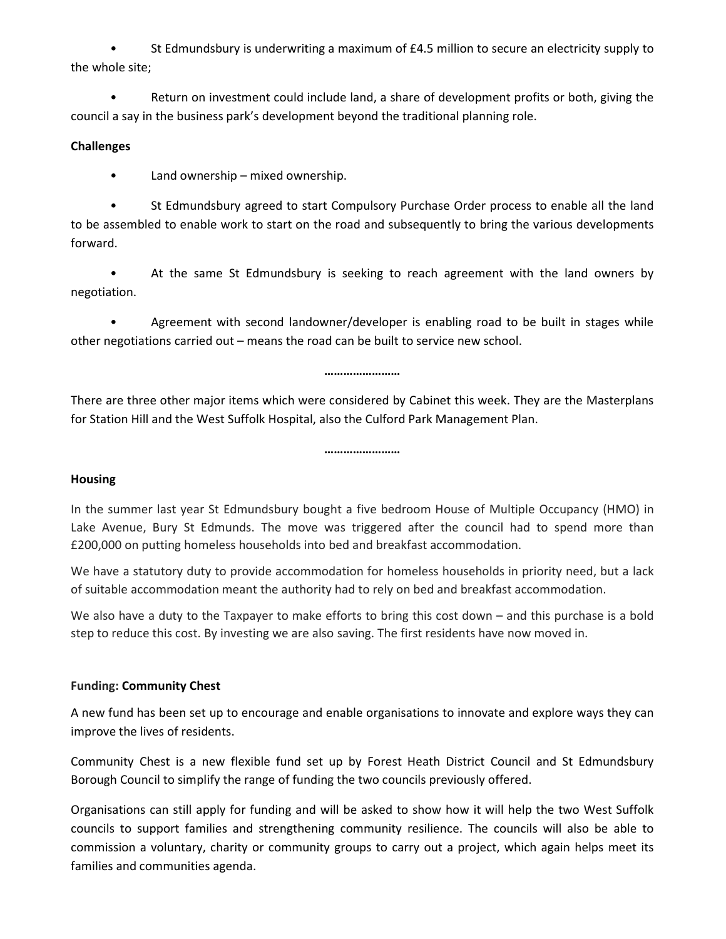• St Edmundsbury is underwriting a maximum of £4.5 million to secure an electricity supply to the whole site;

• Return on investment could include land, a share of development profits or both, giving the council a say in the business park's development beyond the traditional planning role.

#### **Challenges**

• Land ownership – mixed ownership.

• St Edmundsbury agreed to start Compulsory Purchase Order process to enable all the land to be assembled to enable work to start on the road and subsequently to bring the various developments forward.

• At the same St Edmundsbury is seeking to reach agreement with the land owners by negotiation.

• Agreement with second landowner/developer is enabling road to be built in stages while other negotiations carried out – means the road can be built to service new school.

……………………

There are three other major items which were considered by Cabinet this week. They are the Masterplans for Station Hill and the West Suffolk Hospital, also the Culford Park Management Plan.

……………………

#### **Housing**

In the summer last year St Edmundsbury bought a five bedroom House of Multiple Occupancy (HMO) in Lake Avenue, Bury St Edmunds. The move was triggered after the council had to spend more than £200,000 on putting homeless households into bed and breakfast accommodation.

We have a statutory duty to provide accommodation for homeless households in priority need, but a lack of suitable accommodation meant the authority had to rely on bed and breakfast accommodation.

We also have a duty to the Taxpayer to make efforts to bring this cost down – and this purchase is a bold step to reduce this cost. By investing we are also saving. The first residents have now moved in.

# Funding: Community Chest

A new fund has been set up to encourage and enable organisations to innovate and explore ways they can improve the lives of residents.

Community Chest is a new flexible fund set up by Forest Heath District Council and St Edmundsbury Borough Council to simplify the range of funding the two councils previously offered.

Organisations can still apply for funding and will be asked to show how it will help the two West Suffolk councils to support families and strengthening community resilience. The councils will also be able to commission a voluntary, charity or community groups to carry out a project, which again helps meet its families and communities agenda.